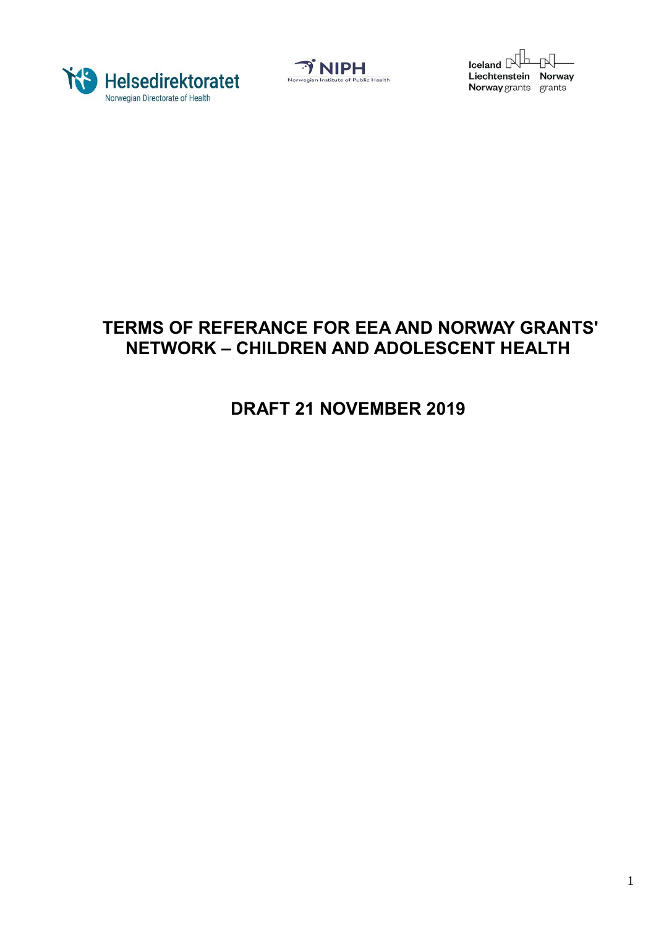





# **TERMS OF REFERANCE FOR EEA AND NORWAY GRANTS' NETWORK – CHILDREN AND ADOLESCENT HEALTH**

# **DRAFT 21 NOVEMBER 2019**

1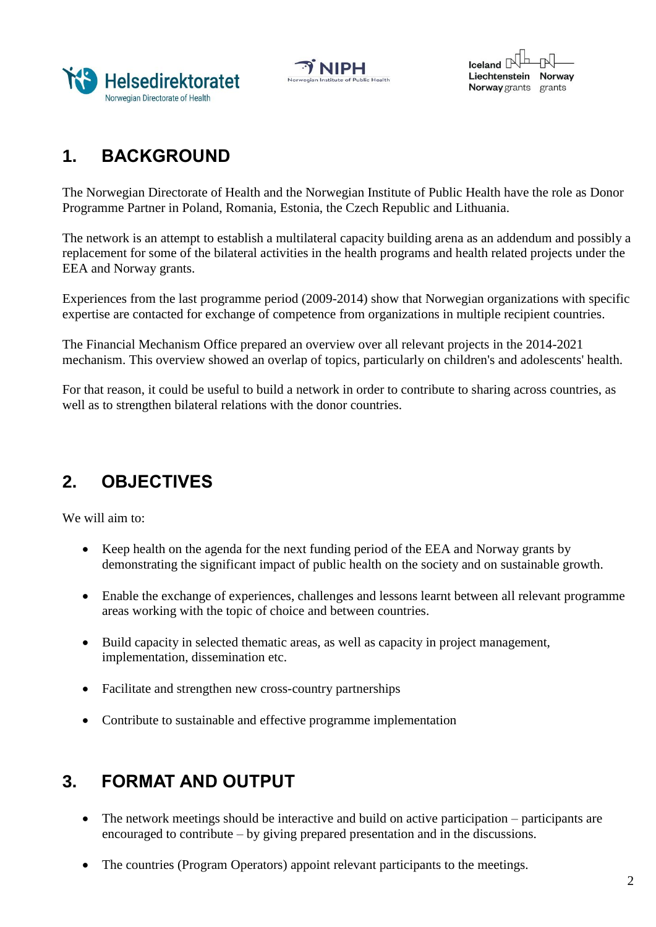





# **1. BACKGROUND**

The Norwegian Directorate of Health and the Norwegian Institute of Public Health have the role as Donor Programme Partner in Poland, Romania, Estonia, the Czech Republic and Lithuania.

The network is an attempt to establish a multilateral capacity building arena as an addendum and possibly a replacement for some of the bilateral activities in the health programs and health related projects under the EEA and Norway grants.

Experiences from the last programme period (2009-2014) show that Norwegian organizations with specific expertise are contacted for exchange of competence from organizations in multiple recipient countries.

The Financial Mechanism Office prepared an overview over all relevant projects in the 2014-2021 mechanism. This overview showed an overlap of topics, particularly on children's and adolescents' health.

For that reason, it could be useful to build a network in order to contribute to sharing across countries, as well as to strengthen bilateral relations with the donor countries.

## **2. OBJECTIVES**

We will aim to:

- Keep health on the agenda for the next funding period of the EEA and Norway grants by demonstrating the significant impact of public health on the society and on sustainable growth.
- Enable the exchange of experiences, challenges and lessons learnt between all relevant programme areas working with the topic of choice and between countries.
- Build capacity in selected thematic areas, as well as capacity in project management, implementation, dissemination etc.
- Facilitate and strengthen new cross-country partnerships
- Contribute to sustainable and effective programme implementation

## **3. FORMAT AND OUTPUT**

- The network meetings should be interactive and build on active participation participants are encouraged to contribute – by giving prepared presentation and in the discussions.
- The countries (Program Operators) appoint relevant participants to the meetings.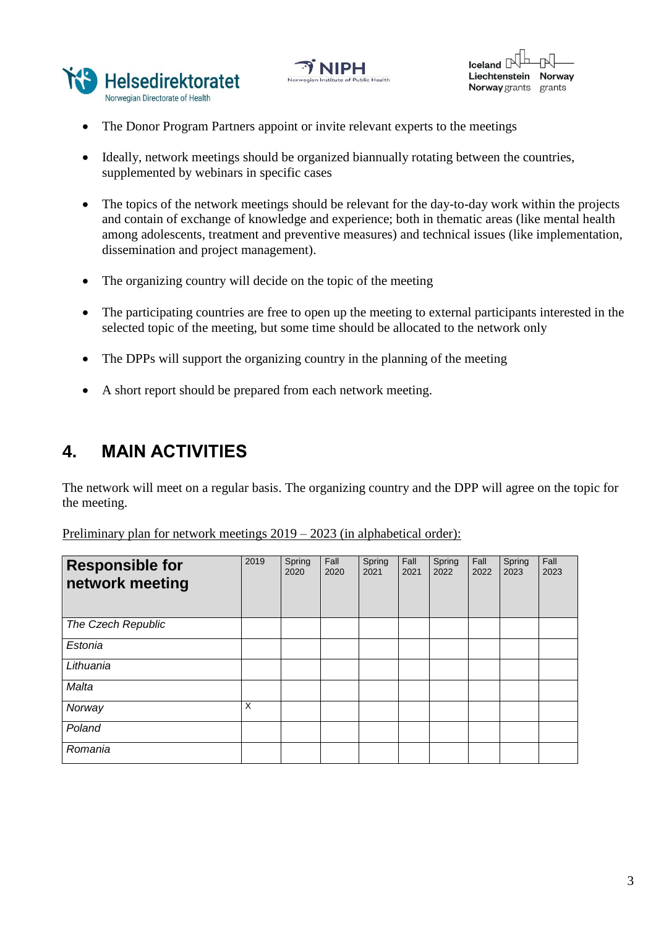





- The Donor Program Partners appoint or invite relevant experts to the meetings
- Ideally, network meetings should be organized biannually rotating between the countries, supplemented by webinars in specific cases
- The topics of the network meetings should be relevant for the day-to-day work within the projects and contain of exchange of knowledge and experience; both in thematic areas (like mental health among adolescents, treatment and preventive measures) and technical issues (like implementation, dissemination and project management).
- The organizing country will decide on the topic of the meeting
- The participating countries are free to open up the meeting to external participants interested in the selected topic of the meeting, but some time should be allocated to the network only
- The DPPs will support the organizing country in the planning of the meeting
- A short report should be prepared from each network meeting.

### **4. MAIN ACTIVITIES**

The network will meet on a regular basis. The organizing country and the DPP will agree on the topic for the meeting.

Preliminary plan for network meetings 2019 – 2023 (in alphabetical order):

| <b>Responsible for</b><br>network meeting | 2019 | Spring<br>2020 | Fall<br>2020 | Spring<br>2021 | Fall<br>2021 | Spring<br>2022 | Fall<br>2022 | Spring<br>2023 | Fall<br>2023 |
|-------------------------------------------|------|----------------|--------------|----------------|--------------|----------------|--------------|----------------|--------------|
| The Czech Republic                        |      |                |              |                |              |                |              |                |              |
| Estonia                                   |      |                |              |                |              |                |              |                |              |
| Lithuania                                 |      |                |              |                |              |                |              |                |              |
| Malta                                     |      |                |              |                |              |                |              |                |              |
| Norway                                    | X    |                |              |                |              |                |              |                |              |
| Poland                                    |      |                |              |                |              |                |              |                |              |
| Romania                                   |      |                |              |                |              |                |              |                |              |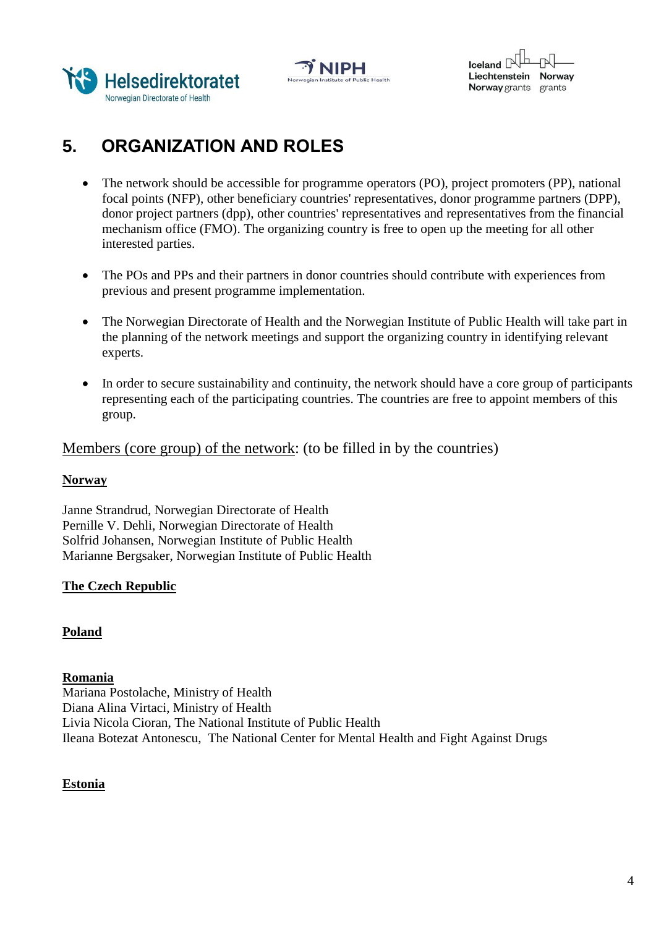





# **5. ORGANIZATION AND ROLES**

- The network should be accessible for programme operators (PO), project promoters (PP), national focal points (NFP), other beneficiary countries' representatives, donor programme partners (DPP), donor project partners (dpp), other countries' representatives and representatives from the financial mechanism office (FMO). The organizing country is free to open up the meeting for all other interested parties.
- The POs and PPs and their partners in donor countries should contribute with experiences from previous and present programme implementation.
- The Norwegian Directorate of Health and the Norwegian Institute of Public Health will take part in the planning of the network meetings and support the organizing country in identifying relevant experts.
- In order to secure sustainability and continuity, the network should have a core group of participants representing each of the participating countries. The countries are free to appoint members of this group.

Members (core group) of the network: (to be filled in by the countries)

### **Norway**

Janne Strandrud, Norwegian Directorate of Health Pernille V. Dehli, Norwegian Directorate of Health Solfrid Johansen, Norwegian Institute of Public Health Marianne Bergsaker, Norwegian Institute of Public Health

### **The Czech Republic**

### **Poland**

### **Romania**

Mariana Postolache, Ministry of Health Diana Alina Virtaci, Ministry of Health Livia Nicola Cioran, The National Institute of Public Health Ileana Botezat Antonescu, The National Center for Mental Health and Fight Against Drugs

### **Estonia**